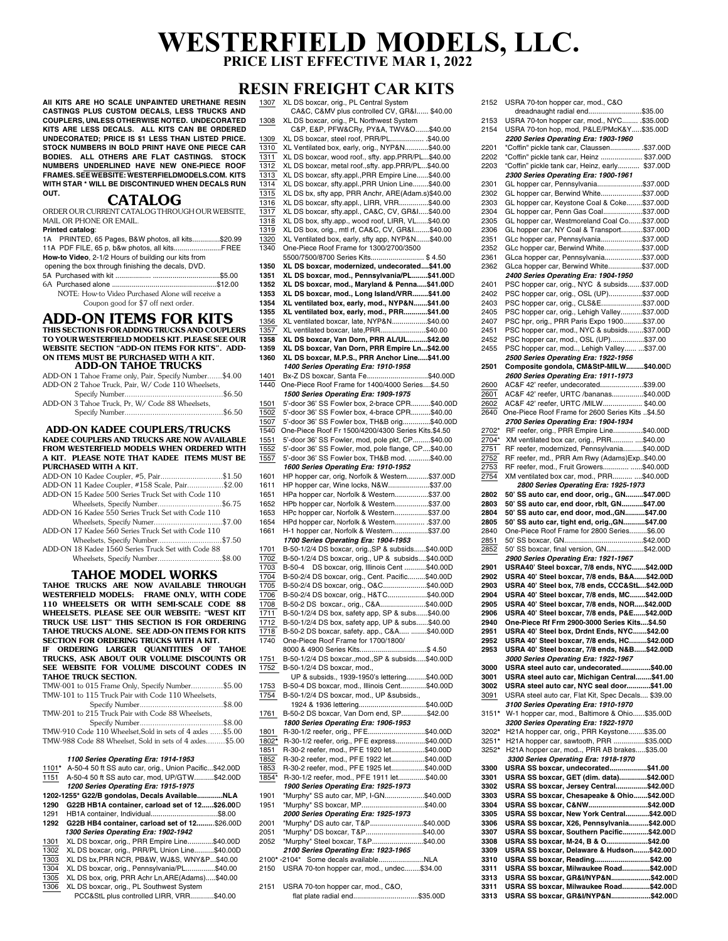# **WESTERFIELD MODELS, LLC. PRICE LIST EFFECTIVE MAR 1, 2022**

# **RESIN FREIGHT CAR KITS**

1307 XL DS boxcar, orig., PL Central System

**All KITS ARE HO SCALE UNPAINTED URETHANE RESIN CASTINGS PLUS CUSTOM DECALS, LESS TRUCKS AND COUPLERS, UNLESS OTHERWISE NOTED. UNDECORATED KITS ARE LESS DECALS. ALL KITS CAN BE ORDERED UNDECORATED; PRICE IS \$1 LESS THAN LISTED PRICE. STOCK NUMBERS IN BOLD PRINT HAVE ONE PIECE CAR BODIES. ALL OTHERS ARE FLAT CASTINGS. STOCK NUMBERS UNDERLINED HAVE NEW ONE-PIECE ROOF FRAMES. SEE WEBSITE: WESTERFIELDMODELS.COM. KITS WITH STAR \* WILL BE DISCONTINUED WHEN DECALS RUN OUT.**

### **CATALOG**

ORDER OUR CURRENT CATALOG THROUGH OUR WEBSITE, MAIL OR PHONE OR EMAIL.

| <b>Printed catalog:</b>                             |  |
|-----------------------------------------------------|--|
| 1A PRINTED, 65 Pages, B&W photos, all kits\$20.99   |  |
| 11A PDF FILE, 65 p, b&w photos, all kits FREE       |  |
| How-to Video, 2-1/2 Hours of building our kits from |  |
| opening the box through finishing the decals, DVD.  |  |
|                                                     |  |
|                                                     |  |
| NOTE: How-to Video Purchased Alone will receive a   |  |
| Coupon good for \$7 off next order.                 |  |

# **ADD-ON ITEMS FOR KITS**

**THIS SECTION IS FOR ADDING TRUCKS AND COUPLERS TO YOUR WESTERFIELD MODELS KIT. PLEASE SEE OUR WEBSITE SECTION "ADD-ON ITEMS FOR KITS". ADD-ON ITEMS MUST BE PURCHASED WITH A KIT.**

 **ADD-ON TAHOE TRUCKS** ADD-ON 1 Tahoe Frame only, Pair, Specify Number. \$4.00

| THE PLATT TURNER TURNED ONLY, I USE, OPCOMY I RUSSICS |
|-------------------------------------------------------|
| ADD-ON 2 Tahoe Truck, Pair, W/ Code 110 Wheelsets,    |
|                                                       |
| ADD-ON 3 Tahoe Truck, Pr, W/ Code 88 Wheelsets,       |
|                                                       |
|                                                       |

#### **ADD-ON KADEE COUPLERS/TRUCKS KADEE COUPLERS AND TRUCKS ARE NOW AVAILABLE FROM WESTERFIELD MODELS WHEN ORDERED WITH A KIT. PLEASE NOTE THAT KADEE ITEMS MUST BE PURCHASED WITH A KIT.**

| ADD-ON 10 Kadee Coupler, #5, Pair\$1.50            |  |
|----------------------------------------------------|--|
| ADD-ON 11 Kadee Coupler, #158 Scale, Pair\$2.00    |  |
| ADD-ON 15 Kadee 500 Series Truck Set with Code 110 |  |
| Wheelsets, Specify Number\$6.75                    |  |
| ADD-ON 16 Kadee 550 Series Truck Set with Code 110 |  |
| Wheelsets, Specify Numer\$7.00                     |  |
| ADD-ON 17 Kadee 560 Series Truck Set with Code 110 |  |
| Wheelsets, Specify Number\$7.50                    |  |

 Wheelsets, Specify Number..............................\$7.50 ADD-ON 18 Kadee 1560 Series Truck Set with Code 88 Wheelsets, Specify Number..............................\$8.00

## **TAHOE MODEL WORKS**

**TAHOE TRUCKS ARE NOW AVAILABLE THROUGH WESTERFIELD MODELS: FRAME ONLY, WITH CODE 110 WHEELSETS OR WITH SEMI-SCALE CODE 88 WHEELSETS. PLEASE SEE OUR WEBSITE: "WEST KIT TRUCK USE LIST" THIS SECTION IS FOR ORDERING TAHOE TRUCKS ALONE. SEE ADD-ON ITEMS FOR KITS SECTION FOR ORDERING TRUCKS WITH A KIT. ORDERING LARGER QUANITITIES OF TAHOE TRUCKS, ASK ABOUT OUR VOLUME DISCOUNTS OR SEE WEBSITE FOR VOLUME DISCOUNT CODES IN TAHOE TRUCK SECTION.** TMW-001 to 015 Frame Only, Specify Number...............\$5.00 TMW-101 to 115 Truck Pair with Code 110 Wheelsets,

| TMW-201 to 215 Truck Pair with Code 88 Wheelsets,          |  |
|------------------------------------------------------------|--|
|                                                            |  |
| TMW-910 Code 110 Wheelset, Sold in sets of 4 axles  \$5.00 |  |
| TMW-988 Code 88 Wheelset. Sold in sets of 4 axles\$5.00    |  |
|                                                            |  |

#### *1100 Series Operating Era: 1914-1953*

| 1101*                                              | A-50-4 50 ft SS auto car, orig., Union Pacific\$42.00D |  |
|----------------------------------------------------|--------------------------------------------------------|--|
| 1151                                               | A-50-4 50 ft SS auto car, mod, UP/GTW\$42.00D          |  |
|                                                    | 1200 Series Operating Era: 1915-1975                   |  |
| 1202-1255* G22/B gondolas, Decals Available<br>NLA |                                                        |  |
| 1290                                               | G22B HB1A container, carload set of 12\$26.00D         |  |
| 1291                                               | HB1A container, Individual\$8.00                       |  |
| 1292                                               | G22B HB4 container, carload set of 12\$26.00D          |  |
|                                                    | 1300 Series Operating Era: 1902-1942                   |  |
| 1301                                               | XL DS boxcar, orig., PRR Empire Line\$40.00D           |  |
| 1302                                               | XL DS boxcar, orig., PRR/PL Union Line\$40.00D         |  |
| 1303                                               | XL DS bx, PRR NCR, PB&W, WJ&S, WNY&P\$40.00            |  |
| 1304                                               | XL DS boxcar, orig., Pennsylvania/PL\$40.00            |  |
| 1305                                               | XL DS box, orig, PRR Achr Ln, ARE(Adams)\$40.00        |  |
| 1306                                               | XL DS boxcar, orig., PL Southwest System               |  |
|                                                    | PCC&StL plus controlled LIRR, VRR\$40.00               |  |

 CA&C, C&MV plus controlled CV, GR&I...... \$40.00 1308 XL DS boxcar, orig., PL Northwest System C&P, E&P, PFW&CRy, PY&A, TWV&O.......\$40.00 1309 XL DS boxcar, steel roof, PRR/PL.....................\$40.00<br>1310 XL Ventilated box early orig NYP&N \$40.00  $\overline{\frac{1310}{1311}}$  XL Ventilated box, early, orig., NYP&N...<br> $\overline{1311}$  XL DS boxcar. wood roof... sftv. app.PRF XL DS boxcar, wood roof., sfty. app.PRR/PL...\$40.00 1312 XL DS boxcar, metal roof.,sfty. app.PRR/PL...\$40.00<br>1313 XL DS boxcar, sfty.appl..PRR Empire Line......\$40.00 XL DS boxcar, sfty.appl.,PRR Empire Line......\$40.00 1314 XL DS boxcar, sfty.appl.,PRR Union Line........\$40.00 1315 XL DS bx, sfty app, PRR Anchr, ARE(Adam.s)\$40.00 1316 XL DS boxcar, sfty.appl., LIRR, VRR...............\$40.00 1317 XL DS boxcar, sfty.appl., CA&C, CV, GR&I.....\$40.00 1318 XL DS box, sfty.app., wood roof, LIRR, VL......\$40.00 1319 XL DS box, orig., mtl rf, CA&C, CV, GR&I........\$40.00  $\frac{1320}{1340}$  XL Ventilated box, early, sfty app, NYP&N.......\$40.00<br>1340 One-Piece Roof Frame for 1300/2700/3500 1340 One-Piece Roof Frame for 1300/2700/3500 5500/7500/8700 Series Kits........................... \$ 4.50 **1350 XL DS boxcar, modernized, undecorated....\$41.00 1351 XL DS boxcar, mod., Pennsylvania/PL........\$41.00**D **1352 XL DS boxcar, mod., Maryland & Penna.....\$41.00**D **1353 XL DS boxcar, mod., Long Island/VRR........\$41.00 1354 XL ventilated box, early, mod., NYP&N.......\$41.00 1355 XL ventilated box, early, mod., PRR............\$41.00** 1356 XL ventilated boxcar, late, NYP&N...................\$40.00<br>1357 XL ventilated boxcar, late, PRR...........................\$40.00 1357 XL ventilated boxcar, late,PRR.......................\$40.00 **1358 XL DS boxcar, Van Dorn, PRR AL/UL..........\$42.00 1359 XL DS boxcar, Van Dorn, PRR Empire Ln...\$42.00 1360 XL DS boxcar, M.P.S., PRR Anchor Line.....\$41.00** *1400 Series Operating Era: 1910-1958* 1401 Bx-Z DS boxcar, Santa Fe...............................\$40.00D 1440 One-Piece Roof Frame for 1400/4000 Series....\$4.50 *1500 Series Operating Era: 1909-1975* 1501 5'-door 36' SS Fowler box, 2-brace CPR..........\$40.00D 1502 5'-door 36' SS Fowler box, 4-brace CPR..........\$40.00 1507 5'-door 36' SS Fowler box, TH&B orig..............\$40.00D 1540 One-Piece Roof Fr 1500/4200/4300 Series Kits.\$4.50 5'-door 36' SS Fowler, mod, pole pkt, CP.........\$40.00 1552 5'-door 36' SS Fowler, mod, pole flange, CP....\$40.00 1557 5'-door 36' SS Fowler box, TH&B mod. ...........\$40.00 *1600 Series Operating Era: 1910-1952* HP hopper car, orig, Norfolk & Western...........\$37.00D 1611 HP hopper car, Wine locks, N&W.......................\$37.00<br>1651 HPa hopper car, Norfolk & Western \$37.00 HPa hopper car, Norfolk & Western.................\$37.00 1652 HPb hopper car, Norfolk & Western.................\$37.00 1653 HPc hopper car, Norfolk & Western.................\$37.00 1654 HPd hopper car, Norfolk & Western............... .\$37.00 1661 H-1 hopper car, Norfolk & Western..................\$37.00 *1700 Series Operating Era: 1904-1953*<br>1701 B-50-1/2/4 DS boxcar, orig. SP & subsids B-50-1/2/4 DS boxcar, orig.,SP & subsids......\$40.00D  $\frac{1702}{1703}$  B-50-1/2/4 DS boxcar, orig., UP & subsids....\$40.00D<br> $\frac{1703}{1703}$  B-50-4 DS boxcar orig Illinois Cent \$40,00D  $\overline{1703}$  B-50-4 DS boxcar, orig, Illinois Cent ......... 1704 B-50-2/4 DS boxcar, orig., Cent. Pacific.........\$40.00D<br>1705 B-50-2/4 DS boxcar, orig., Q&C......................\$40.00D 1705 B-50-2/4 DS boxcar, orig., O&C......................\$40.00D<br>1706 B-50-2/4 DS boxcar, orig., H&TC...................\$40.00D B-50-2/4 DS boxcar, orig., H&TC.................. 1708 B-50-2 DS boxcar., orig., C&A.......................\$40.00D 1711 B-50-1/2/4 DS box, safety app, SP & subs......\$40.00 1712 B-50-1/2/4 DS box, safety app, UP & subs......\$40.00 1718 B-50-2 DS boxcar, safety. app., C&A..... ........\$40.00D 1740 One-Piece Roof Frame for 1700/1800/ 8000 & 4900 Series Kits................................\$ 4.50<br>1751 B-50-1/2/4 DS boxcar..mod..SP & subsids.....\$40.00 1751 B-50-1/2/4 DS boxcar.,mod.,SP & subsids.....\$40.00D<br>1752 B-50-1/2/4 DS boxcar. mod., B-50-1/2/4 DS boxcar, mod., UP & subsids., 1939-1950's lettering..........\$40.00D 1753 B-50-4 DS boxcar, mod., Illinois Cent.............\$40.00D<br>1754 B-50-1/2/4 DS boxcar, mod., UP & subsids., B-50-1/2/4 DS boxcar, mod., UP &subsids.,<br>1924 & 1936 lettering \$40,000 1924 & 1936 lettering..................................\$40.00D 1761 B-50-2 DS boxcar, Van Dorn end, SP.............\$42.00 *1800 Series Operating Era: 1906-1953* 1801 R-30-1/2 reefer, orig., PFE..............................\$40.00D<br>1802\* R-30-1/2 reefer, orig., PFE express..............\$40.00D 1802**\*** R-30-1/2 reefer, orig., PFE express...............\$40.00D 1851 R-30-2 reefer, mod., PFE 1920 let.................\$40.00D 1852 R-30-2 reefer, mod., PFE 1922 let.................\$40.00D 1853 R-30-2 reefer, mod., PFE 1925 let................\$40.00D<br>1854\* R-30-1/2 reefer, mod., PFE 1911 let.............\$40.00 R-30-1/2 reefer, mod., PFE 1911 let........ **1900 Series Operating Era: 1925-1973**<br>1901 **"Murphy" SS auto car MP LGN** "Murphy" SS auto car, MP, I-GN...................\$40.00D 1951 "Murphy" SS boxcar, MP................................\$40.00 *2000 Series Operating Era: 1925-1973* 2001 "Murphy" DS auto car, T&P...........................\$40.00D 2051 "Murphy" DS boxcar, T&P.............................\$40.00 "Murphy" Steel boxcar, T&P.... *2100 Series Operating Era: 1923-1965* 2100**\*** -2104\* Some decals available.......................NLA 2150 USRA 70-ton hopper car, mod., undec........\$34.00 2151 USRA 70-ton hopper car, mod., C&O, flat plate radial end.................................\$35.00D

| 2152         |                                                                              |  |
|--------------|------------------------------------------------------------------------------|--|
|              | USRA 70-ton hopper car, mod., C&O                                            |  |
|              | dreadnaught radial end\$35.00                                                |  |
| 2153         | USRA 70-ton hopper car, mod., NYC .\$35.00D                                  |  |
|              |                                                                              |  |
| 2154         | USRA 70-ton hop, mod, P&LE/PMcK&Y\$35.00D                                    |  |
|              | 2200 Series Operating Era: 1903-1960                                         |  |
| 2201         | "Coffin" pickle tank car, Claussen \$37.00D                                  |  |
| 2202         | "Coffin" pickle tank car, Heinz  \$37.00D                                    |  |
|              |                                                                              |  |
| 2203         | "Coffin" pickle tank car, Heinz, early \$37.00D                              |  |
|              | 2300 Series Operating Era: 1900-1961                                         |  |
| 2301         | GL hopper car, Pennsylvania\$37.00D                                          |  |
| 2302         | GL hopper car, Berwind White\$37.00D                                         |  |
|              |                                                                              |  |
| 2303         | GL hopper car, Keystone Coal & Coke\$37.00D                                  |  |
| 2304         | GL hopper car, Penn Gas Coal\$37.00D                                         |  |
| 2305         | GL hopper car, Westmoreland Coal Co \$37.00D                                 |  |
| 2306         | GL hopper car, NY Coal & Transport\$37.00D                                   |  |
| 2351         | GLc hopper car, Pennsylvania\$37.00D                                         |  |
|              |                                                                              |  |
| 2352         | GLc hopper car, Berwind White\$37.00D                                        |  |
| 2361         | GLca hopper car, Pennsylvania\$37.00D                                        |  |
| 2362         | GLca hopper car, Berwind White\$37.00D                                       |  |
|              | 2400 Series Operating Era: 1904-1950                                         |  |
| 2401         | PSC hopper car, orig., NYC & subsids\$37.00D                                 |  |
|              |                                                                              |  |
| 2402         | PSC hopper car, orig., OSL (UP)\$37.00D                                      |  |
| 2403         | PSC hopper car, orig., CLS&E\$37.00D                                         |  |
| 2405         | PSC hopper car, orig., Lehigh Valley\$37.00D                                 |  |
| 2407         | PSC hpr, orig., PRR Paris Expo 1900\$37.00                                   |  |
|              |                                                                              |  |
| 2451         | PSC hopper car, mod., NYC & subsids\$37.00D                                  |  |
| 2452         | PSC hopper car, mod., OSL (UP)\$37.00                                        |  |
| 2455         | PSC hopper car, mod, Lehigh Valley  \$37.00                                  |  |
|              | 2500 Series Operating Era: 1922-1956                                         |  |
|              |                                                                              |  |
| 2501         | Composite gondola, CM&StP-MILW\$40.00D                                       |  |
|              | 2600 Series Operating Era: 1911-1973                                         |  |
| 2600         | AC&F 42' reefer, undecorated\$39.00                                          |  |
| 2601         | AC&F 42' reefer, URTC /bananas\$40.00D                                       |  |
|              | AC&F 42' reefer, URTC /MILW \$40.00                                          |  |
| 2602         |                                                                              |  |
| 2640         | One-Piece Roof Frame for 2600 Series Kits \$4.50                             |  |
|              | 2700 Series Operating Era: 1904-1934                                         |  |
| 2702*        | RF reefer, orig., PRR Empire Line\$40.00D                                    |  |
| 2704*        | XM ventilated box car, orig., PRR  \$40.00                                   |  |
|              |                                                                              |  |
| 2751         | RF reefer, modernized, Pennsylvania\$40.00D                                  |  |
| 2752         | RF reefer, md., PRR Am Rwy (Adams)Exp\$40.00                                 |  |
| 2753         | RF reefer, mod., Fruit Growers \$40.00D                                      |  |
| 2754         | XM ventilated box car, mod., PRR \$40.00D                                    |  |
|              | 2800 Series Operating Era: 1925-1973                                         |  |
|              |                                                                              |  |
| 2802         | 50' SS auto car, end door, orig., GN\$47.00D                                 |  |
|              |                                                                              |  |
| 2803         | 50' SS auto car, end door, rblt, GN\$47.00                                   |  |
|              |                                                                              |  |
| 2804         | 50' SS auto car, end door, mod., GN\$47.00                                   |  |
| 2805         | 50' SS auto car, tight end, orig., GN\$47.00                                 |  |
| 2840         | One-Piece Roof Frame for 2800 Series\$6.00                                   |  |
| 2851         |                                                                              |  |
| 2852         | 50' SS boxcar, final version, GN\$42.00D                                     |  |
|              |                                                                              |  |
|              | 2900 Series Operating Era: 1921-1967                                         |  |
| 2901         | USRA40' Steel boxcar, 7/8 ends, NYC\$42.00D                                  |  |
| 2902         | USRA 40' Steel boxcar, 7/8 ends, B&A\$42.00D                                 |  |
| 2903         | USRA 40' Steel box, 7/8 ends, CCC&StL\$42.00D                                |  |
| 2904         |                                                                              |  |
|              | USRA 40' Steel boxcar, 7/8 ends, MC\$42.00D                                  |  |
| 2905         | USRA 40' Steel boxcar, 7/8 ends, NOR\$42.00D                                 |  |
| 2906         | USRA 40' Steel boxcar, 7/8 ends, P&E\$42.00D                                 |  |
| 2940         | One-Piece Rf Frm 2900-3000 Series Kits\$4.50                                 |  |
| 2951         | USRA 40' Steel box, Drdnt Ends, NYC\$42.00                                   |  |
| 2952         |                                                                              |  |
|              | USRA 40' Steel boxcar, 7/8 ends, HC\$42.00D                                  |  |
| 2953         | USRA 40' Steel boxcar, 7/8 ends, N&B\$42.00D                                 |  |
|              | 3000 Series Operating Era: 1922-1967                                         |  |
| 3000         | USRA steel auto car, undecorated\$40.00                                      |  |
| 3001         | USRA steel auto car, Michigan Central\$41.00                                 |  |
| 3002         | USRA steel auto car, NYC seal door\$41.00                                    |  |
|              |                                                                              |  |
| <u>3091</u>  | USRA steel auto car, Flat Kit, Spec Decals \$39.00                           |  |
|              | 3100 Series Operating Era: 1910-1970                                         |  |
| 3151*        | W-1 hopper car, mod., Baltimore & Ohio\$35.00D                               |  |
|              | 3200 Series Operating Era: 1922-1970                                         |  |
|              |                                                                              |  |
| 3202*        | H21A hopper car, orig., PRR Keystone\$35.00                                  |  |
| 3251*        | H21A hopper car, sawtooth, PRR \$35.00D                                      |  |
| 3252*        | H21A hopper car, mod, PRR AB brakes\$35.00                                   |  |
|              | 3300 Series Operating Era: 1918-1970                                         |  |
| 3300         | USRA SS boxcar, undecorated\$41.00                                           |  |
|              |                                                                              |  |
| 3301         | USRA SS boxcar, GET (dim. data)\$42.00D                                      |  |
| 3302         | USRA SS boxcar, Jersey Central\$42.00D                                       |  |
| 3303         | USRA SS boxcar, Chesapeake & Ohio\$42.00D                                    |  |
| 3304         | USRA SS boxcar, C&NW\$42.00D                                                 |  |
|              |                                                                              |  |
| 3305         | USRA SS boxcar, New York Central\$42.00D                                     |  |
| 3306         | USRA SS boxcar, X26, Pennsylvania\$42.00D                                    |  |
| 3307         | USRA SS boxcar, Southern Pacific\$42.00D                                     |  |
| 3308         | USRA SS boxcar, M-24, B & O\$42.00                                           |  |
| 3309         | USRA SS boxcar, Delaware & Hudson\$42.00D                                    |  |
|              |                                                                              |  |
| 3310         | USRA SS boxcar, Reading\$42.00                                               |  |
| 3311         | USRA SS boxcar, Milwaukee Road\$42.00D                                       |  |
| 3313         | USRA SS boxcar, GR&I/NYP&N\$42.00D                                           |  |
| 3311<br>3313 | USRA SS boxcar, Milwaukee Road\$42.00D<br>USRA SS boxcar, GR&I/NYP&N\$42.00D |  |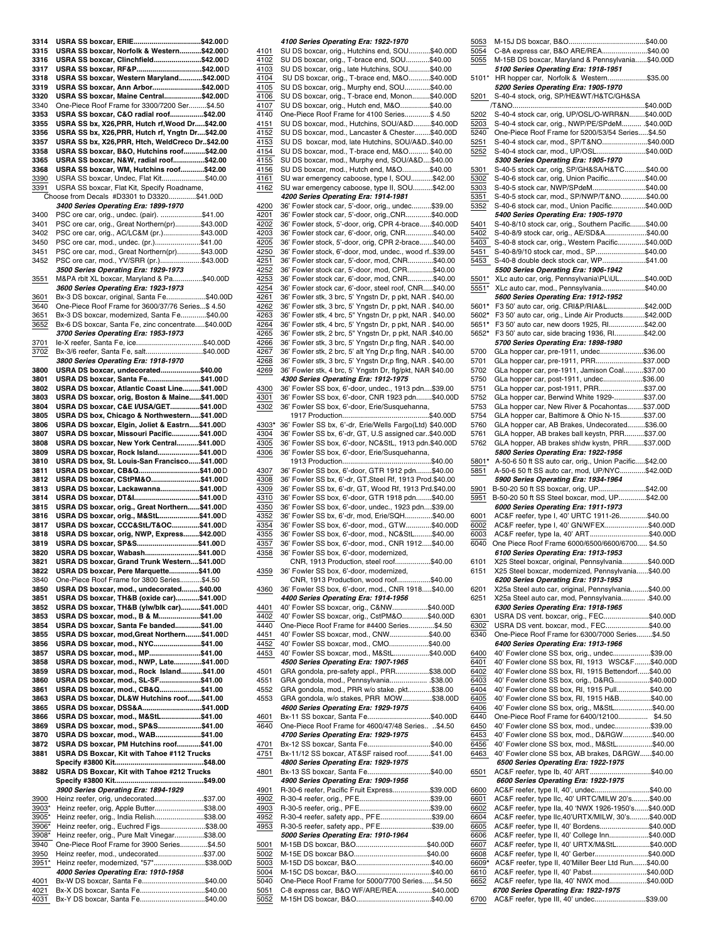| 3314         | USRA SS boxcar, ERIE\$42.00D                                       |  |
|--------------|--------------------------------------------------------------------|--|
| 3315         | USRA SS boxcar, Norfolk & Western\$42.00D                          |  |
| 3316         | USRA SS boxcar, Clinchfield\$42.00D                                |  |
|              |                                                                    |  |
| 3317         | USRA SS boxcar, RF&P\$42.00D                                       |  |
| 3318         | USRA SS boxcar, Western Maryland\$42.00D                           |  |
| 3319         | USRA SS boxcar, Ann Arbor\$42.00D                                  |  |
| 3320         | USRA SS boxcar, Maine Central\$42.00D                              |  |
| 3340         | One-Piece Roof Frame for 3300/7200 Ser\$4.50                       |  |
|              |                                                                    |  |
| 3353         | USRA SS boxcar, C&O radial roof\$42.00                             |  |
| 3355         | USRA SS bx, X26, PRR, Hutch rf, Wood Dr\$42.00                     |  |
| 3356         | USRA SS bx, X26, PRR, Hutch rf, Yngtn Dr\$42.00                    |  |
| 3357         | USRA SS bx, X26, PRR, Htch, WeldCreco Dr\$42.00                    |  |
| 3358         | USRA SS boxcar, B&O, Hutchins roof\$42.00                          |  |
| 3365         | USRA SS boxcar, N&W, radial roof\$42.00                            |  |
|              |                                                                    |  |
| 3368         | USRA SS boxcar, WM, Hutchins roof\$42.00                           |  |
| 3390         | USRA SS boxcar, Undec, Flat Kit\$40.00                             |  |
| 3391         | USRA SS boxcar, Flat Kit, Specify Roadname,                        |  |
|              | Choose from Decals #D3301 to D3320\$41.00D                         |  |
|              | 3400 Series Operating Era: 1899-1970                               |  |
|              |                                                                    |  |
| 3400         | PSC ore car, orig., undec. (pair). \$41.00                         |  |
| 3401         | PSC ore car, orig., Great Northern(pr)\$43.00D                     |  |
| 3402         | PSC ore car, orig., AC/LC&M (pr.)\$43.00D                          |  |
| 3450         | PSC ore car, mod., undec. (pr.)\$41.00                             |  |
|              |                                                                    |  |
| 3451         | PSC ore car, mod., Great Northern(pr)\$43.00D                      |  |
| 3452         | PSC ore car, mod., YV/SRR (pr.)\$43.00D                            |  |
|              | 3500 Series Operating Era: 1929-1973                               |  |
| 3551         | M&PA rblt XL boxcar, Maryland & Pa\$40.00D                         |  |
|              | 3600 Series Operating Era: 1923-1973                               |  |
|              |                                                                    |  |
| 3601         | Bx-3 DS boxcar, original, Santa Fe\$40.00D                         |  |
| 3640         | One-Piece Roof Frame for 3600/37/76 Series\$ 4.50                  |  |
| 3651         | Bx-3 DS boxcar, modernized, Santa Fe\$40.00                        |  |
| 3652         | Bx-6 DS boxcar, Santa Fe, zinc concentrate\$40.00D                 |  |
|              |                                                                    |  |
|              | 3700 Series Operating Era: 1953-1973                               |  |
| 3701         | le-X reefer, Santa Fe, ice\$40.00D                                 |  |
| 3702         | Bx-3/6 reefer, Santa Fe, salt\$40.00D                              |  |
|              | 3800 Series Operating Era: 1918-1970                               |  |
|              |                                                                    |  |
| 3800         | USRA DS boxcar, undecorated\$40.00                                 |  |
| 3801         | USRA DS boxcar, Santa Fe\$41.00D                                   |  |
| 3802         | USRA DS boxcar, Atlantic Coast Line\$41.00D                        |  |
| 3803         | USRA DS boxcar, orig, Boston & Maine\$41.00D                       |  |
|              |                                                                    |  |
| 3804         | USRA DS boxcar, C&E I/USA/GET\$41.00D                              |  |
| 3805         | USRA DS box, Chicago & Northwestern\$41.00D                        |  |
| 3806         | USRA DS boxcar, Elgin, Joliet & Eastrn\$41.00D                     |  |
|              |                                                                    |  |
| 3807         | USRA DS boxcar, Missouri Pacific\$41.00D                           |  |
| 3808         | USRA DS boxcar, New York Central\$41.00D                           |  |
| 3809         | USRA DS boxcar, Rock Island\$41.00D                                |  |
| 3810         | USRA DS box, St. Louis-San Francisco\$41.00D                       |  |
|              |                                                                    |  |
| 3811         | USRA DS boxcar, CB&Q\$41.00D                                       |  |
| 3812         | USRA DS boxcar, CStPM&O\$41.00D                                    |  |
| 3813         | USRA DS boxcar, Lackawanna\$41.00D                                 |  |
| 3814         | USRA DS boxcar, DT&I\$41.00D                                       |  |
|              |                                                                    |  |
| 3815         | USRA DS boxcar, orig., Great Northern\$41.00D                      |  |
| 3816         | USRA DS boxcar, orig., M&StL\$41.00D                               |  |
| 3817         | USRA DS boxcar, CCC&StL/T&OC\$41.00D                               |  |
| 3818         | USRA DS boxcar, orig, NWP, Express\$42.00D                         |  |
| 3819         | USRA DS boxcar, SP&S\$41.00D                                       |  |
|              |                                                                    |  |
| 3820         |                                                                    |  |
|              | USRA DS boxcar, Wabash\$41.00D                                     |  |
| 3821         | USRA DS boxcar, Grand Trunk Western\$41.00D                        |  |
|              |                                                                    |  |
| 3822         | USRA DS boxcar, Pere Marquette\$41.00                              |  |
| 3840         | One-Piece Roof Frame for 3800 Series\$4.50                         |  |
| 3850         | USRA DS boxcar, mod., undecorated\$40.00                           |  |
| 3851         | USRA DS boxcar, TH&B (oxide car)\$41.00D                           |  |
|              |                                                                    |  |
| 3852         | USRA DS boxcar, TH&B (ylw/blk car)\$41.00D                         |  |
| 3853         | USRA DS boxcar, mod., B & M\$41.00                                 |  |
| 3854         | USRA DS boxcar, Santa Fe banded\$41.00                             |  |
| 3855         | USRA DS boxcar, mod, Great Northern\$41.00D                        |  |
| 3856         | USRA DS boxcar, mod., NYC\$41.00                                   |  |
| 3857         | USRA DS boxcar, mod., MP\$41.00                                    |  |
|              |                                                                    |  |
| 3858         | USRA DS boxcar, mod., NWP, Late\$41.00D                            |  |
| 3859         | USRA DS boxcar, mod., Rock Island\$41.00                           |  |
| 3860         | USRA DS boxcar, mod., SL-SF\$41.00                                 |  |
| 3861         |                                                                    |  |
|              | USRA DS boxcar, mod., CB&Q\$41.00                                  |  |
| 3863         | USRA DS boxcar, DL&W Hutchins roof\$41.00                          |  |
| 3865         | USRA DS boxcar, DSS&A\$41.00D                                      |  |
| 3866         | USRA DS boxcar, mod., M&StL\$41.00                                 |  |
| 3869         | USRA DS boxcar, mod., SP&S\$41.00                                  |  |
|              |                                                                    |  |
| 3870         | USRA DS boxcar, mod., WAB\$41.00                                   |  |
| 3872         | USRA DS boxcar, PM Hutchins roof\$41.00                            |  |
| 3881         | USRA DS Boxcar, Kit with Tahoe #112 Trucks                         |  |
|              |                                                                    |  |
|              |                                                                    |  |
| 3882         | USRA DS Boxcar, Kit with Tahoe #212 Trucks                         |  |
|              |                                                                    |  |
|              | 3900 Series Operating Era: 1894-1929                               |  |
|              |                                                                    |  |
| 3900         | Heinz reefer, orig, undecorated\$37.00                             |  |
| 3903*        | Heinz reefer, orig, Apple Butter\$38.00                            |  |
| 3905*        | Heinz reefer, orig., India Relish\$38.00                           |  |
| 3906*        | Heinz reefer, orig., Euchred Figs\$38.00                           |  |
|              |                                                                    |  |
| 3908*        | Heinz reefer, orig., Pure Malt Vinegar\$38.00                      |  |
| 3940         | One-Piece Roof Frame for 3900 Series\$4.50                         |  |
| 3950         | Heinz reefer, mod., undecorated\$37.00                             |  |
|              |                                                                    |  |
| 3951*        | Heinz reefer, modernized, "57"\$38.00D                             |  |
|              | 4000 Series Operating Era: 1910-1958                               |  |
| 4001         | Bx-W DS boxcar, Santa Fe\$40.00                                    |  |
| 4021<br>4031 | Bx-X DS boxcar, Santa Fe\$40.00<br>Bx-Y DS boxcar, Santa Fe\$40.00 |  |

|              | 4100 Series Operating Era: 1922-1970                      |  |
|--------------|-----------------------------------------------------------|--|
| 4101         | SU DS boxcar, orig., Hutchins end, SOU\$40.00D            |  |
| 4102         | SU DS boxcar, orig., T-brace end, SOU\$40.00              |  |
| 4103         | SU DS boxcar, orig., late Hutchins, SOU\$40.00            |  |
| 4104         | SU DS boxcar, orig., T-brace end, M&O\$40.00D             |  |
| 4105         | SU DS boxcar, orig., Murphy end, SOU\$40.00               |  |
| 4106         | SU DS boxcar, orig., T-brace end, Monon\$40.00D           |  |
| 4107         | SU DS boxcar, orig., Hutch end, M&O\$40.00                |  |
| 4140         | One-Piece Roof Frame for 4100 Series\$ 4.50               |  |
| 4151         | SU DS boxcar, mod., Hutchins, SOU/A&D\$40.00D             |  |
| 4152         | SU DS boxcar, mod., Lancaster & Chester\$40.00D           |  |
| 4153         | SU DS boxcar, mod, late Hutchins, SOU/A&D\$40.00          |  |
| 4154         | SU DS boxcar, mod., T-brace end, M&O \$40.00              |  |
| 4155         | SU DS boxcar, mod., Murphy end, SOU/A&D\$40.00            |  |
| 4156         | SU DS boxcar, mod., Hutch end, M&O\$40.00                 |  |
| 4161         | SU war emergency caboose, type I, SOU\$42.00              |  |
| 4162         | SU war emergency caboose, type II, SOU\$42.00             |  |
|              | 4200 Series Operating Era: 1914-1981                      |  |
| 4200         | 36' Fowler stock car, 5'-door, orig., undec\$39.00        |  |
|              |                                                           |  |
| 4201         | 36' Fowler stock car, 5'-door, orig., CNR\$40.00D         |  |
| 4202         | 36' Fowler stock, 5'-door, orig, CPR 4-brace\$40.00D      |  |
| 4203         | 36' Fowler stock car, 6'-door, orig, CNR\$40.00           |  |
| 4205         | 36' Fowler stock, 5'-door, orig, CPR 2-brace\$40.00       |  |
| 4250         | 36' Fowler stock, 6'-door, mod, undec., wood rf\$39.00    |  |
| 4251         | 36' Fowler stock car, 5'-door, mod, CNR\$40.00            |  |
| 4252         | 36' Fowler stock car, 5'-door, mod, CPR\$40.00            |  |
| 4253         | 36' Fowler stock car, 6'-door, mod, CNR\$40.00            |  |
| 4254         | 36' Fowler stock car, 6'-door, steel roof, CNR\$40.00     |  |
| 4261         | 36' Fowler stk, 3 brc, 5' Yngstn Dr, p pkt, NAR. \$40.00  |  |
| 4262         | 36' Fowler stk, 3 brc, 5' Yngstn Dr, p pkt, NAR . \$40.00 |  |
| 4263         | 36' Fowler stk, 4 brc, 5" Yngstn Dr, p pkt, NAR. \$40.00  |  |
| 4264         | 36' Fowler stk, 4 brc, 5' Yngstn Dr, p pkt, NAR . \$40.00 |  |
| 4265         | 36' Fowler stk, 2 brc, 5" Yngstn Dr, p pkt, NAR .\$40.00  |  |
| 4266         | 36' Fowler stk, 3 brc, 5' Yngstn Dr,p flng, NAR. \$40.00  |  |
| 4267         | 36' Fowler stk, 2 brc, 5' alt Yng Dr,p flng, NAR. \$40.00 |  |
| 4268         | 36' Fowler stk, 3 brc, 5' Yngstn Dr,p flng, NAR. \$40.00  |  |
| 4269         | 36' Fowler stk, 4 brc, 5' Yngstn Dr, flg/pkt, NAR \$40.00 |  |
|              | 4300 Series Operating Era: 1912-1975                      |  |
| 4300         | 36' Fowler SS box, 6'-door, undec., 1913 pdn\$39.00       |  |
| 4301         | 36' Fowler SS box, 6'-door, CNR 1923 pdn\$40.00D          |  |
| 4302         | 36' Fowler SS box, 6'-door, Erie/Susquehanna,             |  |
|              |                                                           |  |
| 4303*        | 36' Fowler SS bx, 6'-dr, Erie/Wells Fargo(Ltd) \$40.00D   |  |
| 4304         | 36' Fowler SS bx, 6'-dr, GT, U.S assigned car\$40.00D     |  |
| 4305         | 36' Fowler SS box, 6'-door, NC&StL, 1913 pdn.\$40.00D     |  |
| 4306         | 36' Fowler SS box, 6'-door, Erie/Susquehanna,             |  |
|              |                                                           |  |
| 4307         | 36' Fowler SS box, 6'-door, GTR 1912 pdn\$40.00           |  |
| 4308         | 36' Fowler SS bx, 6'-dr, GT,Steel Rf, 1913 Prod.\$40.00   |  |
|              |                                                           |  |
|              |                                                           |  |
| 4309         | 36' Fowler SS bx, 6'-dr, GT, Wood Rf, 1913 Prd.\$40.00    |  |
| 4310         | 36' Fowler SS box, 6'-door, GTR 1918 pdn\$40.00           |  |
| 4350         | 36' Fowler SS box, 6'-door, undec., 1923 pdn\$39.00       |  |
| 4352         | 36' Fowler SS bx, 6'-dr, mod, Erie/SQH\$40.00             |  |
| 4354         | 36' Fowler SS box, 6'-door, mod., GTW\$40.00D             |  |
| 4355         | 36' Fowler SS box, 6'-door, mod., NC&StL\$40.00           |  |
| 4357         | 36' Fowler SS box, 6'-door, mod., CNR 1912\$40.00         |  |
| 4358         | 36' Fowler SS box, 6'-door, modernized,                   |  |
|              | CNR, 1913 Production, steel roof\$40.00                   |  |
| 4359         | 36' Fowler SS box, 6'-door, modernized,                   |  |
|              | CNR, 1913 Production, wood roof\$40.00                    |  |
| 4360         | 36' Fowler SS box, 6'-door, mod., CNR 1918\$40.00         |  |
|              | 4400 Series Operating Era: 1914-1956                      |  |
| 4401         | 40' Fowler SS boxcar, orig., C&NW\$40.00D                 |  |
| 4402         | 40' Fowler SS boxcar, orig., CstPM&O\$40.00D              |  |
| 4440         | One-Piece Roof Frame for #4400 Series\$4.50               |  |
| 4451         | 40' Fowler SS boxcar, mod., CNW\$40.00                    |  |
| 4452         | 40' Fowler SS boxcar, mod., CMO\$40.00                    |  |
| 4453         | 40' Fowler SS boxcar, mod., M&StL\$40.00D                 |  |
|              | 4500 Series Operating Era: 1907-1965                      |  |
| 4501         | GRA gondola, pre-safety appl., PRR\$38.00D                |  |
| 4551         | GRA gondola, mod., Pennsylvania \$38.00                   |  |
| 4552         | GRA gondola, mod., PRR w/o stake. pkt\$38.00              |  |
| 4553         | GRA gondola, w/o stakes, PRR MOW\$38.00D                  |  |
|              | 4600 Series Operating Era: 1929-1975                      |  |
| 4601         | Bx-11 SS boxcar, Santa Fe\$40.00D                         |  |
| 4640         | One-Piece Roof Frame for 4600/47/48 Series \$4.50         |  |
|              | 4700 Series Operating Era: 1929-1975                      |  |
| 4701         | Bx-12 SS boxcar, Santa Fe\$40.00                          |  |
| 4751         | Bx-11/12 SS boxcar, AT&SF raised roof\$41.00              |  |
|              | 4800 Series Operating Era: 1929-1975                      |  |
| 4801         | Bx-13 SS boxcar, Santa Fe\$40.00                          |  |
|              | 4900 Series Operating Era: 1909-1956                      |  |
| 4901         | R-30-6 reefer, Pacific Fruit Express\$39.00D              |  |
| 4902         | R-30-4 reefer, orig., PFE\$39.00                          |  |
| 4903         |                                                           |  |
| 4952         | R-30-4 reefer, safety app., PFE\$39.00                    |  |
| 4953         | R-30-5 reefer, safety app., PFE\$39.00                    |  |
|              | 5000 Series Operating Era: 1910-1964                      |  |
| 5001         |                                                           |  |
| 5002         |                                                           |  |
| 5003         |                                                           |  |
| 5004         |                                                           |  |
| 5040         |                                                           |  |
|              | One-Piece Roof Frame for 5000/7700 Series\$4.50           |  |
| 5051<br>5052 | C-8 express car, B&O WF/ARE/REA\$40.00D                   |  |

| 5053        |                                                                                 |               |
|-------------|---------------------------------------------------------------------------------|---------------|
| 5054        | C-8A express car, B&O ARE/REA\$40.00                                            |               |
| 5055        | M-15B DS boxcar, Maryland & Pennsylvania\$40.00D                                |               |
|             | 5100 Series Operating Era: 1918-1951                                            |               |
| 5101*       |                                                                                 |               |
|             | HR hopper car, Norfolk & Western\$35.00                                         |               |
|             | 5200 Series Operating Era: 1905-1970                                            |               |
| 5201        | S-40-4 stock, orig, SP/HE&WT/H&TC/GH&SA                                         |               |
|             |                                                                                 |               |
| 5202        | S-40-4 stock car, orig, UP/OSL/O-WRR&N\$40.00D                                  |               |
|             |                                                                                 |               |
| 5203        | S-40-4 stock car, orig., NWP/PE/SPdeM .\$40.00D                                 |               |
| 5240        | One-Piece Roof Frame for 5200/53/54 Series\$4.50                                |               |
| 5251        | S-40-4 stock car, mod., SP/T&NO\$40.00D                                         |               |
| 5252        | S-40-4 stock car, mod., UP/OSL\$40.00D                                          |               |
|             |                                                                                 |               |
|             | 5300 Series Operating Era: 1905-1970                                            |               |
| 5301        | S-40-5 stock car, orig, SP/GH&SA/H&TC\$40.00                                    |               |
| 5302        | S-40-6 stock car, orig, Union Pacific\$40.00                                    |               |
| 5303        | S-40-5 stock car, NWP/SPdeM\$40.00                                              |               |
|             |                                                                                 |               |
| 5351        | S-40-5 stock car, mod., SP/NWP/T&NO\$40.00                                      |               |
| 5352        | S-40-6 stock car, mod., Union Pacific\$40.00D                                   |               |
|             | 5400 Series Operating Era: 1905-1970                                            |               |
| 5401        | S-40-8/10 stock car, orig., Southern Pacific\$40.00                             |               |
|             |                                                                                 |               |
| 5402        | S-40-8/9 stock car, orig., AE/SD&A\$40.00                                       |               |
| 5403        | S-40-8 stock car, orig., Western Pacific\$40.00D                                |               |
| 5451        | S-40-8/9/10 stock car, mod., SP\$40.00                                          |               |
| 5453        | S-40-8 double deck stock car, WP\$41.00                                         |               |
|             | 5500 Series Operating Era: 1906-1942                                            |               |
|             |                                                                                 |               |
| 5501*       | XLc auto car, orig, Pennsylvania\PL\UL\$40.00D                                  |               |
| 5551*       | XLc auto car, mod., Pennsylvania\$40.00                                         |               |
|             | 5600 Series Operating Era: 1912-1952                                            |               |
| 5601*       | F3 50' auto car, orig. CRI&P/RIA&L\$42.00D                                      |               |
|             |                                                                                 |               |
| 5602*       | F3 50' auto car, orig., Linde Air Products\$42.00D                              |               |
| 5651*       | F3 50' auto car, new doors 1925, RI\$42.00                                      |               |
| 5652*       | F3 50' auto car, side bracing 1936, RI\$42.00                                   |               |
|             | 5700 Series Operating Era: 1898-1980                                            |               |
|             |                                                                                 |               |
| 5700        | GLa hopper car, pre-1911, undec\$36.00                                          |               |
| 5701        | GLa hopper car, pre-1911, PRR\$37.00D                                           |               |
| 5702        | GLa hopper car, pre-1911, Jamison Coal\$37.00                                   |               |
| 5750        | GLa hopper car, post-1911, undec\$36.00                                         |               |
| 5751        | GLa hopper car, post-1911, PRR\$37.00                                           |               |
|             |                                                                                 |               |
| 5752        | GLa hopper car, Berwind White 1929-\$37.00                                      |               |
| 5753        | GLa hopper car, New River & Pocahontas\$37.00D                                  |               |
| 5754        | GLA hopper car, Baltimore & Ohio N-15\$37.00                                    |               |
| 5760        | GLA hopper car, AB Brakes, Undecorated\$36.00                                   |               |
|             |                                                                                 |               |
| 5761        | GLA hopper, AB brakes ball keystn, PRR\$37.00                                   |               |
| 5762        | GLA hopper, AB brakes sh\dw kystn, PRR\$37.00D                                  |               |
|             | 5800 Series Operating Era: 1922-1956                                            |               |
| 5801*       | A-50-6 50 ft SS auto car, orig., Union Pacific\$42.00                           |               |
| 5851        |                                                                                 |               |
|             |                                                                                 |               |
|             | A-50-6 50 ft SS auto car, mod, UP/NYC\$42.00D                                   |               |
|             | 5900 Series Operating Era: 1934-1964                                            |               |
| 5901        | B-50-20 50 ft SS boxcar, orig, UP\$42.00                                        |               |
| 5951        | B-50-20 50 ft SS Steel boxcar, mod, UP\$42.00                                   |               |
|             |                                                                                 |               |
|             | 6000 Series Operating Era: 1911-1973                                            |               |
| 6001        | AC&F reefer, type I, 40' URTC 1911-26\$40.00                                    |               |
| 6002        | AC&F reefer, type I, 40' GN/WFEX\$40.00D                                        |               |
| 6003        | AC&F reefer, type la, 40' ART\$40.00D                                           |               |
| 6040        | One Piece Roof Frame 6000/6500/6600/6700 \$4.50                                 |               |
|             |                                                                                 |               |
|             | 6100 Series Operating Era: 1913-1953                                            |               |
| 6101        | X25 Steel boxcar, original, Pennsylvania\$40.00D                                |               |
| 6151        | X25 Steel boxcar, modernized, Pennsylvania\$40.00                               |               |
|             | 6200 Series Operating Era: 1913-1953                                            |               |
| 6201        | X25a Steel auto car, original, Pennsylvania\$40.00                              |               |
|             |                                                                                 |               |
| 6251        | X25a Steel auto car, mod, Pennsylvania \$40.00                                  |               |
|             | 6300 Series Operating Era: 1918-1965                                            |               |
| 6301        | USRA DS vent. boxcar, orig., FEC\$40.00D                                        |               |
| 6302        | USRA DS vent. boxcar, mod., FEC\$40.00                                          |               |
| 6340        | One-Piece Roof Frame for 6300/7000 Series\$4.50                                 |               |
|             |                                                                                 |               |
|             | 6400 Series Operating Era: 1913-1966                                            |               |
| 6400        | 40' Fowler clone SS box, orig., undec\$39.00                                    |               |
| 6401        | 40' Fowler clone SS box, RI, 1913                                               | WSC&F\$40.00D |
| 6402        | 40' Fowler clone SS box, RI, 1915 Bettendorf\$40.00                             |               |
| 6403        | 40' Fowler clone SS box, orig., D&RG\$40.00D                                    |               |
|             |                                                                                 |               |
| 6404        | 40' Fowler clone SS box, RI, 1915 Pull\$40.00                                   |               |
| 6405        | 40' Fowler clone SS box, RI, 1915 H&B\$40.00                                    |               |
| 6406        | 40' Fowler clone SS box, orig., M&StL\$40.00                                    |               |
| 6440        | One-Piece Roof Frame for 6400/12100 \$4.50                                      |               |
| 6450        | 40' Fowler clone SS box, mod., undec\$39.00                                     |               |
|             |                                                                                 |               |
| 6453        | 40' Fowler clone SS box, mod., D&RGW\$40.00                                     |               |
| 6456        | 40' Fowler clone SS box, mod., M&StL\$40.00                                     |               |
| 6463        | 40' Fowler clone SS box, AB brakes, D&RGW\$40.00                                |               |
|             | 6500 Series Operating Era: 1922-1975                                            |               |
| <u>6501</u> | AC&F reefer, type lb, 40' ART\$40.00                                            |               |
|             |                                                                                 |               |
|             | 6600 Series Operating Era: 1922-1975                                            |               |
| 6600        | AC&F reefer, type II, 40', undec\$40.00                                         |               |
| 6601        | AC&F reefer, type IIc, 40' URTC/MILW 20's\$40.00                                |               |
| 6602        | AC&F reefer, type Ila, 40 'NWX 1926-1950's\$40.00D                              |               |
| 6604        | AC&F reefer, type llc,40'URTX/MILW, 30's\$40.00D                                |               |
| 6605        | AC&F reefer, type II, 40' Bordens\$40.00D                                       |               |
|             |                                                                                 |               |
| 6606        | AC&F reefer, type II, 40' College Inn\$40.00D                                   |               |
| 6607        | AC&F reefer, type II, 40' URTX/M&StL\$40.00D                                    |               |
| 6608        | AC&F reefer, type II, 40' Gerber\$40.00D                                        |               |
| 6609*       | AC&F reefer, type II, 40'Miller Beer Ltd Run\$40.00                             |               |
| 6610        | AC&F reefer, type II, 40' Pabst\$40.00D                                         |               |
| 6652        | AC&F reefer, type IIa, 40' NWX mod\$40.00D                                      |               |
|             |                                                                                 |               |
| 6700        | 6700 Series Operating Era: 1922-1975<br>AC&F reefer, type III, 40' undec\$39.00 |               |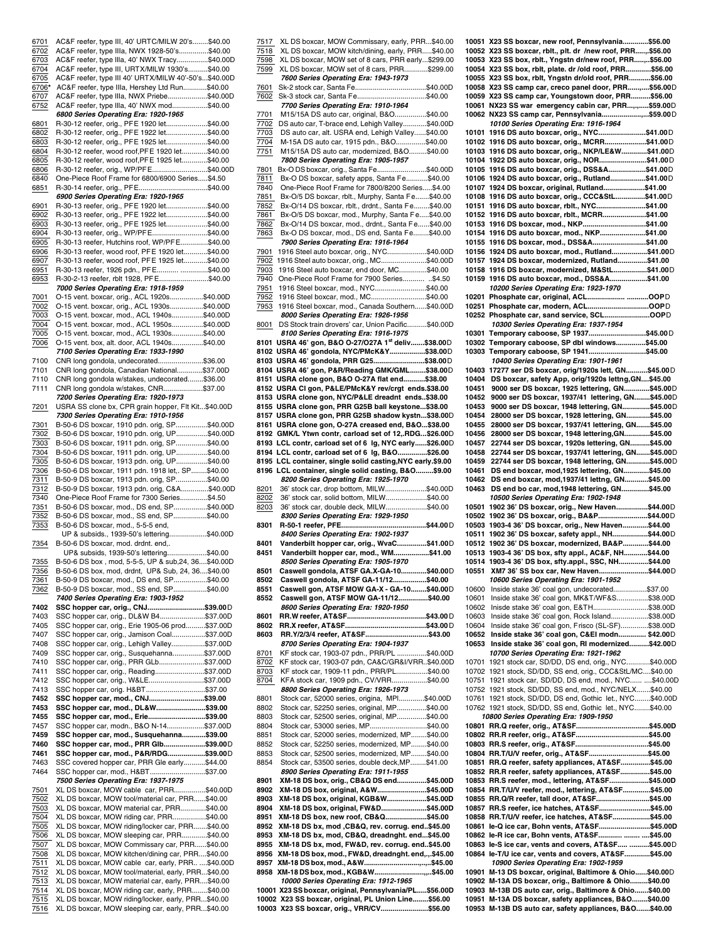| 6701         |                                                                                                         |  |
|--------------|---------------------------------------------------------------------------------------------------------|--|
|              | AC&F reefer, type III, 40' URTC/MILW 20's\$40.00                                                        |  |
| 6702         | AC&F reefer, type IIIa, NWX 1928-50's\$40.00                                                            |  |
| 6703         | AC&F reefer, type IIIa, 40' NWX Tracy\$40.00D                                                           |  |
|              |                                                                                                         |  |
| 6704         | AC&F reefer, type III, URTX/MILW 1930's\$40.00                                                          |  |
| 6705         | AC&F reefer, type III 40' URTX/MILW 40'-50's\$40.00D                                                    |  |
| 6706*        | AC&F reefer, type IIIa, Hershey Ltd Run\$40.00                                                          |  |
| 6707         | AC&F reefer, type IIIa, NWX Priebe\$40.00D                                                              |  |
| 6752         | AC&F reefer, type IIIa, 40' NWX mod\$40.00                                                              |  |
|              | 6800 Series Operating Era: 1920-1965                                                                    |  |
| 6801         | R-30-12 reefer, orig., PFE 1920 let\$40.00                                                              |  |
|              |                                                                                                         |  |
| 6802         | R-30-12 reefer, orig., PFE 1922 let\$40.00                                                              |  |
| 6803         | R-30-12 reefer, orig., PFE 1925 let\$40.00                                                              |  |
| 6804         | R-30-12 reefer, wood roof, PFE 1920 let\$40.00                                                          |  |
| 6805         | R-30-12 reefer, wood roof, PFE 1925 let\$40.00                                                          |  |
| 6806         | R-30-12 reefer, orig., WP/PFE\$40.00D                                                                   |  |
| 6840         | One-Piece Roof Frame for 6800/6900 Series\$4.50                                                         |  |
| 6851         | R-30-14 reefer, orig., PFE\$40.00                                                                       |  |
|              | 6900 Series Operating Era: 1920-1965                                                                    |  |
|              |                                                                                                         |  |
| 6901         | R-30-13 reefer, orig., PFE 1920 let\$40.00                                                              |  |
| 6902         | R-30-13 reefer, orig., PFE 1922 let\$40.00                                                              |  |
| 6903         | R-30-13 reefer, orig., PFE 1925 let\$40.00                                                              |  |
| 6904         | R-30-13 reefer, orig., WP/PFE\$40.00                                                                    |  |
| 6905         | R-30-13 reefer, Hutchins roof, WP/PFE\$40.00                                                            |  |
| 6906         | R-30-13 reefer, wood roof, PFE 1920 let\$40.00                                                          |  |
| 6907         | R-30-13 reefer, wood roof, PFE 1925 let\$40.00                                                          |  |
|              |                                                                                                         |  |
| 6951         | R-30-13 reefer, 1926 pdn., PFE \$40.00                                                                  |  |
| 6953         | R-30-2-13 reefer, rblt 1928, PFE\$40.00                                                                 |  |
|              | 7000 Series Operating Era: 1918-1959                                                                    |  |
| 7001         | O-15 vent. boxcar, orig., ACL 1920s\$40.00D                                                             |  |
| 7002         | O-15 vent. boxcar, orig., ACL 1930s\$40.00D                                                             |  |
| 7003         | O-15 vent. boxcar, mod., ACL 1940s\$40.00D                                                              |  |
| 7004         | O-15 vent. boxcar, mod., ACL 1950s\$40.00D                                                              |  |
|              |                                                                                                         |  |
| 7005         | O-15 vent. boxcar, mod., ACL 1930s\$40.00                                                               |  |
| 7006         | O-15 vent. box, alt. door, ACL 1940s\$40.00                                                             |  |
|              | 7100 Series Operating Era: 1933-1990                                                                    |  |
| 7100         | CNR long gondola, undecorated\$36.00                                                                    |  |
| 7101         | CNR long gondola, Canadian National\$37.00D                                                             |  |
| 7110         | CNR long gondola w/stakes, undecorated\$36.00                                                           |  |
| 7111         | CNR long gondola w/stakes, CNR\$37.00                                                                   |  |
|              | 7200 Series Operating Era: 1920-1973                                                                    |  |
|              |                                                                                                         |  |
| 7201         | USRA SS clone bx, CPR grain hopper, Flt Kit\$40.00D                                                     |  |
|              | 7300 Series Operating Era: 1910-1956                                                                    |  |
| 7301         | B-50-6 DS boxcar, 1910 pdn. orig, SP\$40.00D                                                            |  |
| 7302         | B-50-6 DS boxcar, 1910 pdn. orig, UP\$40.00D                                                            |  |
| 7303         | B-50-6 DS boxcar, 1911 pdn. orig, SP\$40.00                                                             |  |
| 7304         | B-50-6 DS boxcar, 1911 pdn. orig, UP\$40.00                                                             |  |
| 7305         | B-50-6 DS boxcar, 1913 pdn. orig, UP\$40.00                                                             |  |
|              |                                                                                                         |  |
| 7306         | B-50-6 DS boxcar, 1911 pdn. 1918 let,. SP\$40.00                                                        |  |
| 7311         | B-50-9 DS boxcar, 1913 pdn. orig, SP\$40.00                                                             |  |
| 7312         | B-50-9 DS boxcar, 1913 pdn. orig, C&A\$40.00D                                                           |  |
| 7340         | One-Piece Roof Frame for 7300 Series\$4.50                                                              |  |
| 7351         | B-50-6 DS boxcar, mod., DS end, SP\$40.00D                                                              |  |
| 7352         | B-50-6 DS boxcar, mod., SS end, SP\$40.00                                                               |  |
| 7353         | B-50-6 DS boxcar, mod., 5-5-5 end,                                                                      |  |
|              | UP & subsids., 1939-50's lettering\$40.00D                                                              |  |
|              |                                                                                                         |  |
| 7354         | B-50-6 DS boxcar, mod. drdnt. end,.                                                                     |  |
|              | UP& subsids, 1939-50's lettering\$40.00                                                                 |  |
| <u>7355</u>  | B-50-6 DS box , mod, 5-5-5, UP & sub, 24, 36 \$40.00D                                                   |  |
| 7356         | B-50-6 DS box, mod, drdnt, UP& Sub, 24, 36\$40.00                                                       |  |
| 7361         |                                                                                                         |  |
|              |                                                                                                         |  |
|              | B-50-9 DS boxcar, mod., DS end, SP\$40.00                                                               |  |
| 7362         | B-50-9 DS boxcar, mod., SS end, SP\$40.00                                                               |  |
|              | 7400 Series Operating Era: 1903-1952                                                                    |  |
| 7402         | SSC hopper car, orig., CNJ\$39.00D                                                                      |  |
| 7403         | SSC hopper car, orig., DL&W B4\$37.00D                                                                  |  |
| 7405         | SSC hopper car, orig., Erie 1905-06 prod\$37.00D                                                        |  |
| 7407         | SSC hopper car, orig., Jamison Coal\$37.00D                                                             |  |
| 7408         | SSC hopper car, orig., Lehigh Valley\$37.00D                                                            |  |
| 7409         | SSC hopper car, orig., Susquehanna\$37.00D                                                              |  |
| 7410         |                                                                                                         |  |
|              | SSC hopper car, orig., PRR GLb\$37.00D                                                                  |  |
| 7411         | SSC hopper car, orig., Reading\$37.00D                                                                  |  |
| 7412         | SSC hopper car, orig., W&LE\$37.00D                                                                     |  |
| 7413         | SSC hopper car, orig. H&BT\$37.00                                                                       |  |
| 7452         | SSC hopper car, mod., CNJ\$39.00                                                                        |  |
| 7453         | SSC hopper car, mod., DL&W\$39.00                                                                       |  |
| 7455         | SSC hopper car, mod., Erie\$39.00                                                                       |  |
| 7457         | SSC hopper car, modn., B&O N-14\$37.00D                                                                 |  |
|              |                                                                                                         |  |
| 7459         | SSC hopper car, mod., Susquehanna\$39.00                                                                |  |
| 7460         | SSC hopper car, mod., PRR GIb\$39.00D                                                                   |  |
| 7461         | SSC hopper car, mod., P&R/RDG\$39.00D                                                                   |  |
| 7463         | SSC covered hopper car, PRR Gle early\$44.00                                                            |  |
| 7464         | SSC hopper car, mod., H&BT\$37.00                                                                       |  |
|              | 7500 Series Operating Era: 1937-1975                                                                    |  |
| 7501         | XL DS boxcar, MOW cable car, PRR\$40.00D                                                                |  |
| 7502         | XL DS boxcar, MOW tool/material car, PRR\$40.00                                                         |  |
|              |                                                                                                         |  |
| 7503         | XL DS boxcar, MOW material car, PRR\$40.00                                                              |  |
| 7504         | XL DS boxcar, MOW riding car, PRR\$40.00                                                                |  |
| 7505         | XL DS boxcar, MOW riding/locker car, PRR\$40.00                                                         |  |
| 7506         | XL DS boxcar, MOW sleeping car, PRR\$40.00                                                              |  |
| 7507         | XL DS boxcar, MOW Commissary car, PRR\$40.00                                                            |  |
| 7508         | XL DS boxcar, MOW kitchen/dining car, PRR\$40.00                                                        |  |
| 7511         | XL DS boxcar, MOW cable car, early, PRR \$40.00D                                                        |  |
| 7512         | XL DS boxcar, MOW tool/material, early, PRR\$40.00                                                      |  |
|              |                                                                                                         |  |
| 7513         | XL DS boxcar, MOW material car, early, PRR\$40.00                                                       |  |
| 7514         | XL DS boxcar, MOW riding car, early, PRR\$40.00                                                         |  |
| 7515<br>7516 | XL DS boxcar, MOW riding/locker, early, PRR\$40.00<br>XL DS boxcar, MOW sleeping car, early, PRR\$40.00 |  |

7517 XL DS boxcar, MOW Commissary, early, PRR...\$40.00  $\frac{7518}{7598}$  XL DS boxcar, MOW kitch/dining, early, PRR.....\$40.00<br> $\frac{7598}{7598}$  XL DS boxcar, MOW set of 8 cars, PRR early...\$299.00 XL DS boxcar, MOW set of 8 cars, PRR early...\$299.00 7599 XL DS boxcar, MOW set of 8 cars, PRR............\$299.00 *7600 Series Operating Era: 1943-1973* 7601 Sk-2 stock car, Santa Fe....................................\$40.00D 7602 Sk-3 stock car, Santa Fe...................................\$40.00 *7700 Series Operating Era: 1910-1964* 7701 M15/15A DS auto car, original, B&O................\$40.00 7702 DS auto car, T-brace end, Lehigh Valley............\$40.00D 7703 DS auto car, alt. USRA end, Lehigh Valley......\$40.00<br>7704 M-15A DS auto car, 1915 pdn., B&O...............\$40.00 7704 M-15A DS auto car, 1915 pdn., B&O...............\$40.00<br>7751 M15/15A DS auto car, modernized, B&O.........\$40.00 M15/15A DS auto car, modernized, B&O. *7800 Series Operating Era: 1905-1957* Bx-O DS boxcar, orig., Santa Fe.........................\$40.00D  $\frac{7811}{7840}$  Bx-O DS boxcar, safety apps, Santa Fe...........\$40.00<br> $\frac{7840}{7840}$  One-Piece Roof Frame for 7800/8200 Series.....\$4.00 7840 One-Piece Roof Frame for 7800/8200 Series.....\$4.00 7851 Bx-O/5 DS boxcar, rblt., Murphy, Santa Fe.......\$40.00 7852 Bx-O/14 DS boxcar, rblt., drdnt., Santa Fe........\$40.00  $\overline{7861}$  Bx-O/5 DS boxcar, mod., Murphy, Santa Fe.....\$40.00 7862 Bx-O/14 DS boxcar, mod., drdnt., Santa Fe......\$40.00 7863 Bx-O DS boxcar, mod., DS end, Santa Fe........\$40.00 *7900 Series Operating Era: 1916-1964* 7901 1916 Steel auto boxcar, orig., NYC.....................\$40.00D<br>7902 1916 Steel auto boxcar, orig., MC.......................\$40.00D 1916 Steel auto boxcar, orig., MC........................\$40.00<br>1916 Steel auto boxcar, end door, MC..............\$40.00  $\frac{7903}{7940}$  1916 Steel auto boxcar, end door, MC..............\$40.00<br> $\frac{7940}{7940}$  One-Piece Roof Frame for 7900 Series........... ..\$4.50 One-Piece Roof Frame for 7900 Series. 7951 1916 Steel boxcar, mod., NYC..........................\$40.00 7952 1916 Steel boxcar, mod., MC............................\$40.00 7953 1916 Steel boxcar, mod., Canada Southern......\$40.00D *8000 Series Operating Era: 1926-1956* 8001 DS Stock train drovers' car, Union Pacific..........\$40.00D *8100 Series Operating Era: 1916-1975* **8101 USRA 46' gon, B&O O-27/O27A 1st deliv.......\$38.00**D **8102 USRA 46' gondola, NYC/PMcK&Y..................\$38.00**D **8103 USRA 46' gondola, PRR G25..........................\$38.00**D **8104 USRA 46' gon, P&R/Reading GMK/GML........\$38.00**D 8151 USRA clone gon, B&O O-27A flat end.. **8152 USRA Cl gon, P&LE/PMcK&Y rev/crgt ends.\$38.00 8153 USRA clone gon, NYC/P&LE dreadnt ends..\$38.00 8155 USRA clone gon, PRR G25B ball keystone...\$38.00 8157 USRA clone gon, PRR G25B shadow kystn...\$38.00**D **8161 USRA clone gon, O-27A creased end, B&O...\$38.00 8192 GMK/L Ytwn contr, carload set of 12,.RDG...\$26.00**D **8193 LCL contr, carload set of 6 lg, NYC early......\$26.00**D 8194 LCL contr, carload set of 6 lg, B&O....... **8195 LCL container, single solid casting,NYC early.\$9.00 8196 LCL container, single solid casting, B&O.........\$9.00** *8200 Series Operating Era: 1925-1970* 8201 36' stock car, drop bottom, MILW.....................\$40.00D 8202 36' stock car, solid bottom, MILW.....................\$40.00 8203 36' stock car, double deck, MILW.....................\$40.00 *8300 Series Operating Era: 1929-1950* **8301 R-50-1 reefer, PFE...........................................\$44.00**D *8400 Series Operating Era: 1902-1937* **8401 Vanderbilt hopper car, orig., WvaC...............\$41.00**D **8451 Vanderbilt hopper car, mod., WM..................\$41.00** *8500 Series Operating Era: 1905-1970* **8501 Caswell gondola, ATSF GA.X-GA-10.............\$40.00**D Caswell gondola, ATSF GA-11/12.. **8551 Caswell gon, ATSF MOW GA-X - GA-10........\$40.00**D **8552 Caswell gon, ATSF MOW GA-11/12...............\$40.00** *8600 Series Operating Era: 1920-1950* **8601 RR.W reefer, AT&SF........................................\$43.00**D **8602 RR.X reefer, AT&SF.........................................\$43.00**D **8603 RR.Y/2/3/4 reefer, AT&SF................................\$43.00** *8700 Series Operating Era: 1904-1937* 8701 KF stock car, 1903-07 pdn., PRR/PL ...............\$40.00D 8702 KF stock car, 1903-07 pdn, CA&C/GR&I/VRR..\$40.00D<br>8703 KF stock car, 1909-11 pdn,, PRR/PL...............\$40.00 8703 KF stock car, 1909-11 pdn., PRR/PL................\$40.00<br>8704 KFA stock car, 1909 pdn., CV/VRR..................\$40.00 KFA stock car, 1909 pdn., CV/VRR. *8800 Series Operating Era: 1926-1973* Stock car, 52000 series, origina, MPl.............\$40.00D 8802 Stock car, 52250 series, original, MP................\$40.00<br>8803 Stock car, 52500 series, original, MP \$40.00 Stock car, 52500 series, original, MP. 8804 Stock car, 53000 series, MP..............................\$40.00 8851 Stock car, 52000 series, modernized, MP........\$40.00 8852 Stock car, 52250 series, modernized, MP........\$40.00<br>8853 Stock car, 52500 series, modernized, MP........\$40.00 8853 Stock car, 52500 series, modernized, MP.<br>8854 Stock car, 53500 series, double deck.MP. Stock car, 53500 series, double deck, MP........\$41.00 *8900 Series Operating Era: 1911-1955* **8901 XM-18 DS box, orig., CB&Q DS end...............\$45.00D 8902 XM-18 DS box, original, A&W.........................\$45.00D 8903 XM-18 DS box, original, KGB&W....................\$45.00D** 8904 XM-18 DS box, original, FW&D. **8951 XM-18 DS box, new roof, CB&Q.....................\$45.00 8952 XM-18 DS bx, mod ,CB&Q, rev. corrug. end..\$45.00 8953 XM-18 DS bx, mod, CB&Q, dreadnght. end...\$45.00 8955 XM-18 DS bx, mod, FW&D, rev. corrug. end..\$45.00 8956 XM-18 DS box, mod., FW&D, dreadnght. end,.,.\$45.00 8957 XM-18 DS box, mod., A&W............................,..,..\$45.00**  $XM-18$  DS box, mod., KGB&W..  *10000 Series Operating Era: 1912-1965* **10001 X23 SS boxcar, original, Pennsylvania/PL.....\$56.00D** 10002 X23 SS boxcar, original, PL Union Line.....

**10003 X23 SS boxcar, orig., VRR/CV........................\$56.00** 

**10051 X23 SS boxcar, new roof, Pennsylvania.............\$56.00 10052 X23 SS boxcar, rblt., plt. dr /new roof, PRR.....,.\$56.00** 10053 X23 SS box, rblt., Yngstn dr/new roof, PRR. **10054 X23 SS box, rblt, plate. dr /old roof, PRR.............\$56.00** 10055 X23 SS box, rblt, Yngstn dr/old roof, PRR. **10058 X23 SS camp car, creco panel door, PRR......,....\$56.00**D **10059 X23 SS camp car, Youngstown door, PRR..........\$56.00 10061 NX23 SS war emergency cabin car, PRR...,.,.....\$59.00**D 10062 NX23 SS camp car, Pennsylvania.. *10100 Series Operating Era: 1916-1964* **10101 1916 DS auto boxcar, orig., NYC........................\$41.00**D **10102 1916 DS auto boxcar, orig., MCRR.....................\$41.00**D **10103 1916 DS auto boxcar, orig., NKP/LE&W.............\$41.00**D **10104 1922 DS auto boxcar, orig., NOR........................\$41.00**D 10105 1916 DS auto boxcar, orig., DSS&A. **10106 1924 DS auto boxcar, orig., Rutland..................\$41.00**D **10107 1924 DS boxcar, original, Rutland.....................\$41.00** 10108 1916 DS auto boxcar, orig., CCC&StL **10151 1916 DS auto boxcar, rblt., NYC.........................\$41.00 10152 1916 DS auto boxcar, rblt., MCRR......................\$41.00 10153 1916 DS boxcar, mod., NKP................................\$41.00 10154 1916 DS auto boxcar, mod., NKP.......................\$41.00 10155 1916 DS boxcar, mod., DSS&A...........................\$41.00** 10156 1924 DS auto boxcar, mod., Rutland..................\$41.00<br>10157 1924 DS boxcar, modernized, Rutland...............\$41.00 **10157 1924 DS boxcar, modernized, Rutland...............\$41.00 10158 1916 DS boxcar, modernized, M&StL.................\$41.00**D **10159 1916 DS auto boxcar, mod., DSS&A...................\$41.00**  *10200 Series Operating Era: 1923-1970* **10201 Phosphate car, original, ACL................... ...........OOP**D 10251 Phosphate car, modern, ACL **10252 Phosphate car, sand service, SCL.......................OOP**D *10300 Series Operating Era: 1937-1954* **10301 Temporary caboose, SP 1937.............................\$45.00**D **10302 Temporary caboose, SP dbl windows...............\$45.00 10303 Temporary caboose, SP 1941...** *10400 Series Operating Era: 1901-1961* **10403 17277 ser DS boxcar, orig/1920s lett, GN...........\$45.00**D **10404 DS boxcar, safety App, orig/1920s lettng,GN....\$45.00 10451 9000 ser DS boxcar, 1925 lettering, GN.............\$45.00**D **10452 9000 ser DS boxcar, 1937/41 lettering, GN........\$45.00**D **10453 9000 ser DS boxcar, 1948 lettering, GN..............\$45.00**D 28000 ser DS boxcar, 1928 lettering, GN. **10455 28000 ser DS boxcar, 1937/41 lettering, GN.......\$45.00 10456 28000 ser DS boxcar, 1948 lettering,GN.............\$45.00 10457 22744 ser DS boxcar, 1920s lettering, GN..........\$45.00 10458 22744 ser DS boxcar, 1937/41 lettering, GN.......\$45.00**D **10459 22744 ser DS boxcar, 1948 lettering, GN............\$45.00**D **DS end boxcar, mod,1925 lettering, GN. 10462 DS end boxcar, mod,1937/41 lettng, GN............\$45.00** 10463 DS end bo car, mod, 1948 lettering, GN. *10500 Series Operating Era: 1902-1948* **10501 1902 36' DS boxcar, orig., New Haven................\$44.00**D **10502 1902 36' DS boxcar, orig., BA&P.........................\$44.00**D **10503 1903-4 36' DS boxcar, orig., New Haven.............\$44.00** 10511 1902 36' DS boxcar, safety appl., NH... **10512 1902 36' DS boxcar, modernized, BA&P.............\$44.00 10513 1903-4 36' DS box, sfty appl., AC&F, NH............\$44.00 10514 1903-4 36' DS box, sfty.appl., SSC, NH...............\$44.00** 10551 XM7 36' SS box car, New Haven...  *10600 Series Operating Era: 1901-1952* 10600 Inside stake 36' coal gon, undecorated.................\$37.00 10601 Inside stake 36' coal gon, MK&T/WF&S................\$38.00D Inisde stake 36' coal gon, E&TH..... 10603 Inside stake 36' coal gon, Rock Island...................\$38.00D 10604 Inside stake 36' coal gon, Frisco (SL-SF)..............\$38.00D **10652 Inside stake 36' coal gon, C&EI modn.............. \$42.00**D Inside stake 36' coal gon, RI modernized.  *10700 Series Operating Era: 1921-1962* 10701 1921 stock car, SD/DD, DS end, orig., NYC............\$40.00D 10702 1921 stock, SD/DD, SS end, orig., CCC&StL/MC....\$40.00 10751 1921 stock car, SD/DD, DS end, mod., NYC. 10752 1921 stock, SD/DD, SS end, mod., NYC/NELX.......\$40.00 10761 1921 stock, SD/DD, DS end, Gothic let., NYC. 10762 1921 stock, SD/DD, SS end, Gothic let., NYC........\$40.00 *10800 Series Operating Era: 1909-1950* **10801 RR.Q reefer, orig., AT&SF.....................................\$45.00D 10802 RR.R reefer, orig., AT&SF.....................................\$45.00 10803 RR.S reefer, orig., AT&SF.....................................\$45.00 10804 RR.T/U/V reefer, orig., AT&SF..............................\$45.00 10851 RR.Q reefer, safety appliances, AT&SF...............\$45.00** 10852 RR.R reefer, safety appliances, AT&SF.. **10853 RR.S reefer, mod., lettering, AT&SF....................\$45.00D 10854 RR.T/U/V reefer, mod., lettering, AT&SF..............\$45.00 10855 RR.Q/R reefer, tall door, AT&SF...........................\$45.00** 10857 RR.S reefer, ice hatches, AT&SF **10858 RR.T/U/V reefer, ice hatches, AT&SF...................\$45.00 10861 Ie-Q ice car, Bohn vents, AT&SF..........................\$45.00D** 10862 Ie-R ice car, Bohn vents, AT&SF. **10863 Ie-S ice car, vents and covers, AT&SF..... ..........\$45.00**D 10864 Ie-T/U ice car, vents and covers, AT&SF. *10900 Series Operating Era: 1902-1959* **10901 M-13 DS boxcar, original, Baltimore & Ohio......\$40.00**D 10902 M-13A DS boxcar, orig., Baltimore & Ohio. **10903 M-13B DS auto car, orig., Baltimore & Ohio.......\$40.00** 10951 M-13A DS boxcar, safety appliances, B&O. **10953 M-13B DS auto car, safety appliances, B&O.......\$40.00**